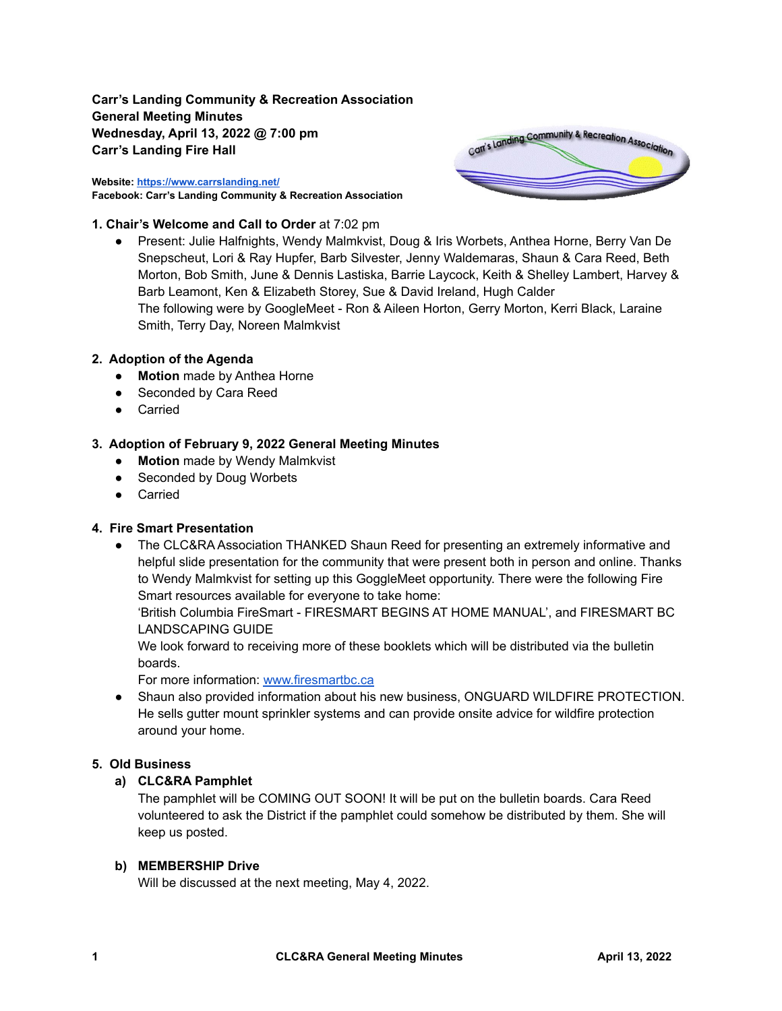**Carr's Landing Community & Recreation Association General Meeting Minutes Wednesday, April 13, 2022 @ 7:00 pm Carr's Landing Fire Hall**

**Website: <https://www.carrslanding.net/> Facebook: Carr's Landing Community & Recreation Association**



### **1. Chair's Welcome and Call to Order** at 7:02 pm

● Present: Julie Halfnights, Wendy Malmkvist, Doug & Iris Worbets, Anthea Horne, Berry Van De Snepscheut, Lori & Ray Hupfer, Barb Silvester, Jenny Waldemaras, Shaun & Cara Reed, Beth Morton, Bob Smith, June & Dennis Lastiska, Barrie Laycock, Keith & Shelley Lambert, Harvey & Barb Leamont, Ken & Elizabeth Storey, Sue & David Ireland, Hugh Calder The following were by GoogleMeet - Ron & Aileen Horton, Gerry Morton, Kerri Black, Laraine Smith, Terry Day, Noreen Malmkvist

### **2. Adoption of the Agenda**

- **● Motion** made by Anthea Horne
- Seconded by Cara Reed
- Carried

### **3. Adoption of February 9, 2022 General Meeting Minutes**

- **● Motion** made by Wendy Malmkvist
- Seconded by Doug Worbets
- Carried

### **4. Fire Smart Presentation**

• The CLC&RA Association THANKED Shaun Reed for presenting an extremely informative and helpful slide presentation for the community that were present both in person and online. Thanks to Wendy Malmkvist for setting up this GoggleMeet opportunity. There were the following Fire Smart resources available for everyone to take home:

'British Columbia FireSmart - FIRESMART BEGINS AT HOME MANUAL', and FIRESMART BC LANDSCAPING GUIDE

We look forward to receiving more of these booklets which will be distributed via the bulletin boards.

For more information: [www.firesmartbc.ca](http://www.firesmartbc.ca)

• Shaun also provided information about his new business, ONGUARD WILDFIRE PROTECTION. He sells gutter mount sprinkler systems and can provide onsite advice for wildfire protection around your home.

### **5. Old Business**

### **a) CLC&RA Pamphlet**

The pamphlet will be COMING OUT SOON! It will be put on the bulletin boards. Cara Reed volunteered to ask the District if the pamphlet could somehow be distributed by them. She will keep us posted.

### **b) MEMBERSHIP Drive**

Will be discussed at the next meeting, May 4, 2022.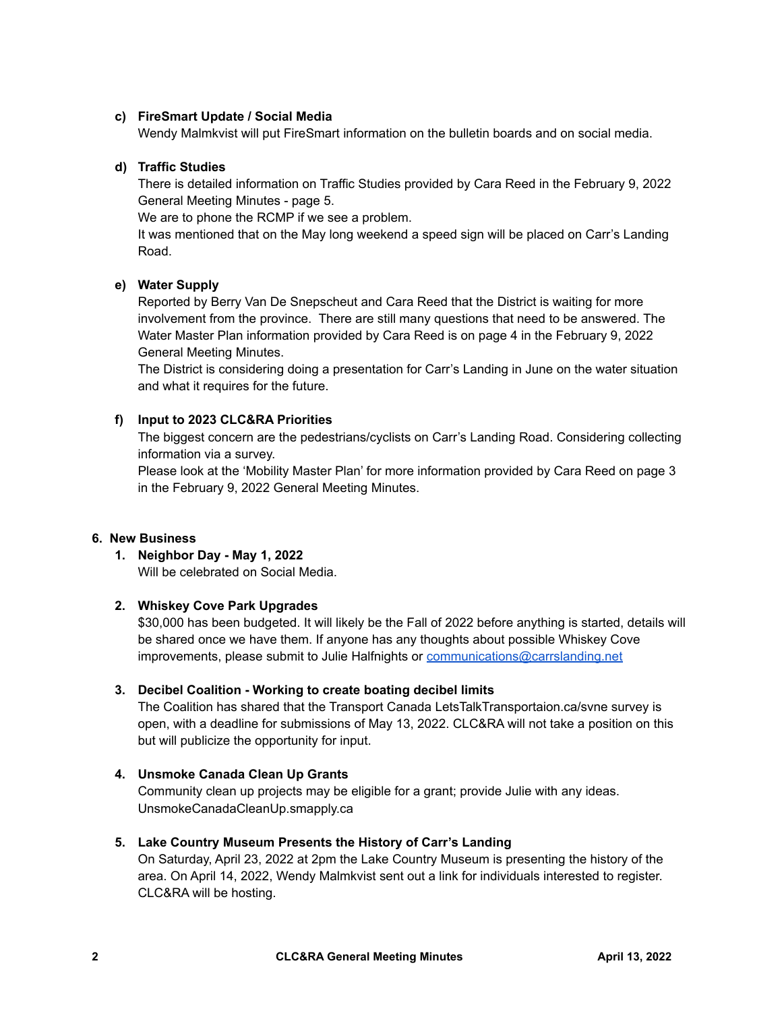# **c) FireSmart Update / Social Media**

Wendy Malmkvist will put FireSmart information on the bulletin boards and on social media.

### **d) Traffic Studies**

There is detailed information on Traffic Studies provided by Cara Reed in the February 9, 2022 General Meeting Minutes - page 5.

We are to phone the RCMP if we see a problem.

It was mentioned that on the May long weekend a speed sign will be placed on Carr's Landing Road.

### **e) Water Supply**

Reported by Berry Van De Snepscheut and Cara Reed that the District is waiting for more involvement from the province. There are still many questions that need to be answered. The Water Master Plan information provided by Cara Reed is on page 4 in the February 9, 2022 General Meeting Minutes.

The District is considering doing a presentation for Carr's Landing in June on the water situation and what it requires for the future.

## **f) Input to 2023 CLC&RA Priorities**

The biggest concern are the pedestrians/cyclists on Carr's Landing Road. Considering collecting information via a survey.

Please look at the 'Mobility Master Plan' for more information provided by Cara Reed on page 3 in the February 9, 2022 General Meeting Minutes.

### **6. New Business**

**1. Neighbor Day - May 1, 2022** Will be celebrated on Social Media.

# **2. Whiskey Cove Park Upgrades**

\$30,000 has been budgeted. It will likely be the Fall of 2022 before anything is started, details will be shared once we have them. If anyone has any thoughts about possible Whiskey Cove improvements, please submit to Julie Halfnights or [communications@carrslanding.net](mailto:communications@carrslanding.net)

### **3. Decibel Coalition - Working to create boating decibel limits**

The Coalition has shared that the Transport Canada LetsTalkTransportaion.ca/svne survey is open, with a deadline for submissions of May 13, 2022. CLC&RA will not take a position on this but will publicize the opportunity for input.

### **4. Unsmoke Canada Clean Up Grants**

Community clean up projects may be eligible for a grant; provide Julie with any ideas. UnsmokeCanadaCleanUp.smapply.ca

### **5. Lake Country Museum Presents the History of Carr's Landing**

On Saturday, April 23, 2022 at 2pm the Lake Country Museum is presenting the history of the area. On April 14, 2022, Wendy Malmkvist sent out a link for individuals interested to register. CLC&RA will be hosting.